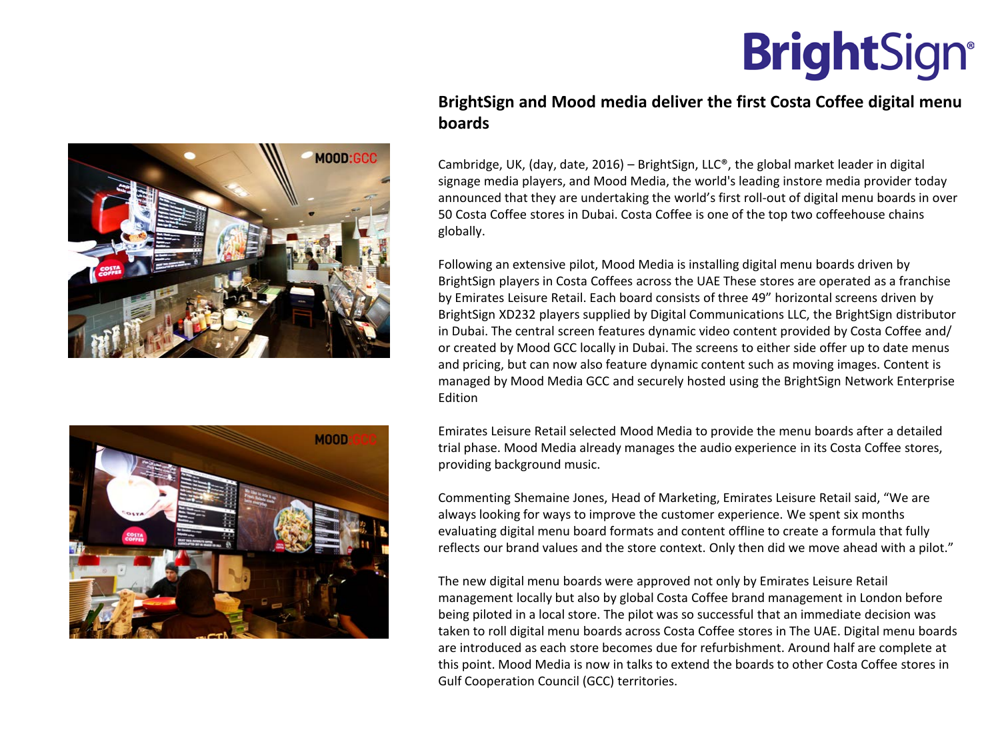**BrightSign®** 





## **BrightSign and Mood media deliver the first Costa Coffee digital menu boards**

Cambridge, UK, (day, date, 2016) – BrightSign, LLC®, the global market leader in digital signage media players, and Mood Media, the world's leading instore media provider today announced that they are undertaking the world's first roll-out of digital menu boards in over 50 Costa Coffee stores in Dubai. Costa Coffee is one of the top two coffeehouse chains globally.

Following an extensive pilot, Mood Media is installing digital menu boards driven by BrightSign players in Costa Coffees across the UAE These stores are operated as a franchise by Emirates Leisure Retail. Each board consists of three 49" horizontal screens driven by BrightSign XD232 players supplied by Digital Communications LLC, the BrightSign distributor in Dubai. The central screen features dynamic video content provided by Costa Coffee and/ or created by Mood GCC locally in Dubai. The screens to either side offer up to date menus and pricing, but can now also feature dynamic content such as moving images. Content is managed by Mood Media GCC and securely hosted using the BrightSign Network Enterprise Edition

Emirates Leisure Retail selected Mood Media to provide the menu boards after a detailed trial phase. Mood Media already manages the audio experience in its Costa Coffee stores, providing background music.

Commenting Shemaine Jones, Head of Marketing, Emirates Leisure Retail said, "We are always looking for ways to improve the customer experience. We spent six months evaluating digital menu board formats and content offline to create a formula that fully reflects our brand values and the store context. Only then did we move ahead with a pilot."

The new digital menu boards were approved not only by Emirates Leisure Retail management locally but also by global Costa Coffee brand management in London before being piloted in a local store. The pilot was so successful that an immediate decision was taken to roll digital menu boards across Costa Coffee stores in The UAE. Digital menu boards are introduced as each store becomes due for refurbishment. Around half are complete at this point. Mood Media is now in talks to extend the boards to other Costa Coffee stores in Gulf Cooperation Council (GCC) territories.